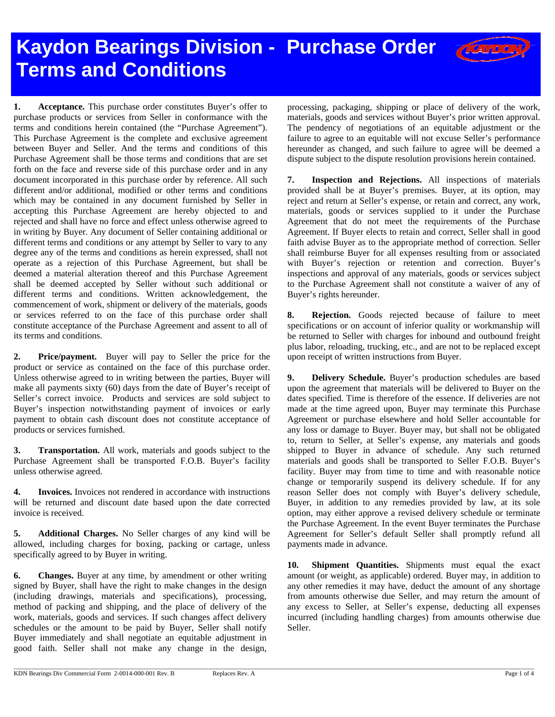## **Kaydon Bearings Division - Purchase Order Terms and Conditions**

**1. Acceptance.** This purchase order constitutes Buyer's offer to purchase products or services from Seller in conformance with the terms and conditions herein contained (the "Purchase Agreement"). This Purchase Agreement is the complete and exclusive agreement between Buyer and Seller. And the terms and conditions of this Purchase Agreement shall be those terms and conditions that are set forth on the face and reverse side of this purchase order and in any document incorporated in this purchase order by reference. All such different and/or additional, modified or other terms and conditions which may be contained in any document furnished by Seller in accepting this Purchase Agreement are hereby objected to and rejected and shall have no force and effect unless otherwise agreed to in writing by Buyer. Any document of Seller containing additional or different terms and conditions or any attempt by Seller to vary to any degree any of the terms and conditions as herein expressed, shall not operate as a rejection of this Purchase Agreement, but shall be deemed a material alteration thereof and this Purchase Agreement shall be deemed accepted by Seller without such additional or different terms and conditions. Written acknowledgement, the commencement of work, shipment or delivery of the materials, goods or services referred to on the face of this purchase order shall constitute acceptance of the Purchase Agreement and assent to all of its terms and conditions.

**2. Price/payment.** Buyer will pay to Seller the price for the product or service as contained on the face of this purchase order. Unless otherwise agreed to in writing between the parties, Buyer will make all payments sixty (60) days from the date of Buyer's receipt of Seller's correct invoice. Products and services are sold subject to Buyer's inspection notwithstanding payment of invoices or early payment to obtain cash discount does not constitute acceptance of products or services furnished.

**3. Transportation.** All work, materials and goods subject to the Purchase Agreement shall be transported F.O.B. Buyer's facility unless otherwise agreed.

**4. Invoices.** Invoices not rendered in accordance with instructions will be returned and discount date based upon the date corrected invoice is received.

**5. Additional Charges.** No Seller charges of any kind will be allowed, including charges for boxing, packing or cartage, unless specifically agreed to by Buyer in writing.

**6. Changes.** Buyer at any time, by amendment or other writing signed by Buyer, shall have the right to make changes in the design (including drawings, materials and specifications), processing, method of packing and shipping, and the place of delivery of the work, materials, goods and services. If such changes affect delivery schedules or the amount to be paid by Buyer, Seller shall notify Buyer immediately and shall negotiate an equitable adjustment in good faith. Seller shall not make any change in the design,

processing, packaging, shipping or place of delivery of the work, materials, goods and services without Buyer's prior written approval. The pendency of negotiations of an equitable adjustment or the failure to agree to an equitable will not excuse Seller's performance hereunder as changed, and such failure to agree will be deemed a dispute subject to the dispute resolution provisions herein contained.

**7. Inspection and Rejections.** All inspections of materials provided shall be at Buyer's premises. Buyer, at its option, may reject and return at Seller's expense, or retain and correct, any work, materials, goods or services supplied to it under the Purchase Agreement that do not meet the requirements of the Purchase Agreement. If Buyer elects to retain and correct, Seller shall in good faith advise Buyer as to the appropriate method of correction. Seller shall reimburse Buyer for all expenses resulting from or associated with Buyer's rejection or retention and correction. Buyer's inspections and approval of any materials, goods or services subject to the Purchase Agreement shall not constitute a waiver of any of Buyer's rights hereunder.

**8. Rejection.** Goods rejected because of failure to meet specifications or on account of inferior quality or workmanship will be returned to Seller with charges for inbound and outbound freight plus labor, reloading, trucking, etc., and are not to be replaced except upon receipt of written instructions from Buyer.

**9. Delivery Schedule.** Buyer's production schedules are based upon the agreement that materials will be delivered to Buyer on the dates specified. Time is therefore of the essence. If deliveries are not made at the time agreed upon, Buyer may terminate this Purchase Agreement or purchase elsewhere and hold Seller accountable for any loss or damage to Buyer. Buyer may, but shall not be obligated to, return to Seller, at Seller's expense, any materials and goods shipped to Buyer in advance of schedule. Any such returned materials and goods shall be transported to Seller F.O.B. Buyer's facility. Buyer may from time to time and with reasonable notice change or temporarily suspend its delivery schedule. If for any reason Seller does not comply with Buyer's delivery schedule, Buyer, in addition to any remedies provided by law, at its sole option, may either approve a revised delivery schedule or terminate the Purchase Agreement. In the event Buyer terminates the Purchase Agreement for Seller's default Seller shall promptly refund all payments made in advance.

**10. Shipment Quantities.** Shipments must equal the exact amount (or weight, as applicable) ordered. Buyer may, in addition to any other remedies it may have, deduct the amount of any shortage from amounts otherwise due Seller, and may return the amount of any excess to Seller, at Seller's expense, deducting all expenses incurred (including handling charges) from amounts otherwise due Seller.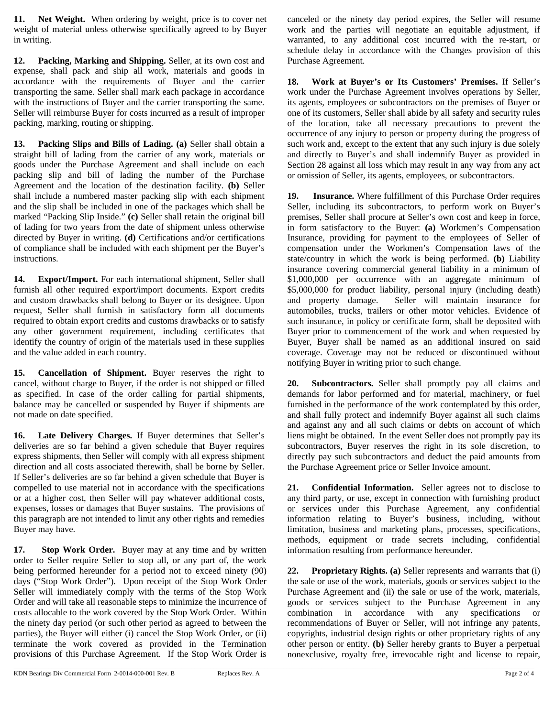**11. Net Weight.** When ordering by weight, price is to cover net weight of material unless otherwise specifically agreed to by Buyer in writing.

**12. Packing, Marking and Shipping.** Seller, at its own cost and expense, shall pack and ship all work, materials and goods in accordance with the requirements of Buyer and the carrier transporting the same. Seller shall mark each package in accordance with the instructions of Buyer and the carrier transporting the same. Seller will reimburse Buyer for costs incurred as a result of improper packing, marking, routing or shipping.

**13. Packing Slips and Bills of Lading. (a)** Seller shall obtain a straight bill of lading from the carrier of any work, materials or goods under the Purchase Agreement and shall include on each packing slip and bill of lading the number of the Purchase Agreement and the location of the destination facility. **(b)** Seller shall include a numbered master packing slip with each shipment and the slip shall be included in one of the packages which shall be marked "Packing Slip Inside." **(c)** Seller shall retain the original bill of lading for two years from the date of shipment unless otherwise directed by Buyer in writing. **(d)** Certifications and/or certifications of compliance shall be included with each shipment per the Buyer's instructions.

**14. Export/Import.** For each international shipment, Seller shall furnish all other required export/import documents. Export credits and custom drawbacks shall belong to Buyer or its designee. Upon request, Seller shall furnish in satisfactory form all documents required to obtain export credits and customs drawbacks or to satisfy any other government requirement, including certificates that identify the country of origin of the materials used in these supplies and the value added in each country.

**15. Cancellation of Shipment.** Buyer reserves the right to cancel, without charge to Buyer, if the order is not shipped or filled as specified. In case of the order calling for partial shipments, balance may be cancelled or suspended by Buyer if shipments are not made on date specified.

**16. Late Delivery Charges.** If Buyer determines that Seller's deliveries are so far behind a given schedule that Buyer requires express shipments, then Seller will comply with all express shipment direction and all costs associated therewith, shall be borne by Seller. If Seller's deliveries are so far behind a given schedule that Buyer is compelled to use material not in accordance with the specifications or at a higher cost, then Seller will pay whatever additional costs, expenses, losses or damages that Buyer sustains. The provisions of this paragraph are not intended to limit any other rights and remedies Buyer may have.

**17. Stop Work Order.** Buyer may at any time and by written order to Seller require Seller to stop all, or any part of, the work being performed hereunder for a period not to exceed ninety (90) days ("Stop Work Order"). Upon receipt of the Stop Work Order Seller will immediately comply with the terms of the Stop Work Order and will take all reasonable steps to minimize the incurrence of costs allocable to the work covered by the Stop Work Order. Within the ninety day period (or such other period as agreed to between the parties), the Buyer will either (i) cancel the Stop Work Order, or (ii) terminate the work covered as provided in the Termination provisions of this Purchase Agreement. If the Stop Work Order is

canceled or the ninety day period expires, the Seller will resume work and the parties will negotiate an equitable adjustment, if warranted, to any additional cost incurred with the re-start, or schedule delay in accordance with the Changes provision of this Purchase Agreement.

**18. Work at Buyer's or Its Customers' Premises.** If Seller's work under the Purchase Agreement involves operations by Seller, its agents, employees or subcontractors on the premises of Buyer or one of its customers, Seller shall abide by all safety and security rules of the location, take all necessary precautions to prevent the occurrence of any injury to person or property during the progress of such work and, except to the extent that any such injury is due solely and directly to Buyer's and shall indemnify Buyer as provided in Section 28 against all loss which may result in any way from any act or omission of Seller, its agents, employees, or subcontractors.

**19. Insurance.** Where fulfillment of this Purchase Order requires Seller, including its subcontractors, to perform work on Buyer's premises, Seller shall procure at Seller's own cost and keep in force, in form satisfactory to the Buyer: **(a)** Workmen's Compensation Insurance, providing for payment to the employees of Seller of compensation under the Workmen's Compensation laws of the state/country in which the work is being performed. **(b)** Liability insurance covering commercial general liability in a minimum of \$1,000,000 per occurrence with an aggregate minimum of \$5,000,000 for product liability, personal injury (including death) and property damage. Seller will maintain insurance for automobiles, trucks, trailers or other motor vehicles. Evidence of such insurance, in policy or certificate form, shall be deposited with Buyer prior to commencement of the work and when requested by Buyer, Buyer shall be named as an additional insured on said coverage. Coverage may not be reduced or discontinued without notifying Buyer in writing prior to such change.

**20. Subcontractors.** Seller shall promptly pay all claims and demands for labor performed and for material, machinery, or fuel furnished in the performance of the work contemplated by this order, and shall fully protect and indemnify Buyer against all such claims and against any and all such claims or debts on account of which liens might be obtained. In the event Seller does not promptly pay its subcontractors, Buyer reserves the right in its sole discretion, to directly pay such subcontractors and deduct the paid amounts from the Purchase Agreement price or Seller Invoice amount.

**21. Confidential Information.** Seller agrees not to disclose to any third party, or use, except in connection with furnishing product or services under this Purchase Agreement, any confidential information relating to Buyer's business, including, without limitation, business and marketing plans, processes, specifications, methods, equipment or trade secrets including, confidential information resulting from performance hereunder.

**22. Proprietary Rights. (a)** Seller represents and warrants that (i) the sale or use of the work, materials, goods or services subject to the Purchase Agreement and (ii) the sale or use of the work, materials, goods or services subject to the Purchase Agreement in any combination in accordance with any specifications or recommendations of Buyer or Seller, will not infringe any patents, copyrights, industrial design rights or other proprietary rights of any other person or entity. **(b)** Seller hereby grants to Buyer a perpetual nonexclusive, royalty free, irrevocable right and license to repair,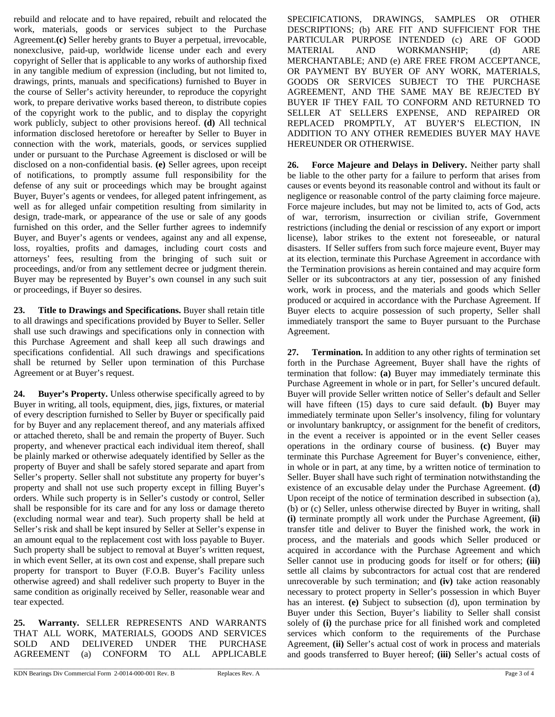rebuild and relocate and to have repaired, rebuilt and relocated the work, materials, goods or services subject to the Purchase Agreement.**(c)** Seller hereby grants to Buyer a perpetual, irrevocable, nonexclusive, paid-up, worldwide license under each and every copyright of Seller that is applicable to any works of authorship fixed in any tangible medium of expression (including, but not limited to, drawings, prints, manuals and specifications) furnished to Buyer in the course of Seller's activity hereunder, to reproduce the copyright work, to prepare derivative works based thereon, to distribute copies of the copyright work to the public, and to display the copyright work publicly, subject to other provisions hereof. **(d)** All technical information disclosed heretofore or hereafter by Seller to Buyer in connection with the work, materials, goods, or services supplied under or pursuant to the Purchase Agreement is disclosed or will be disclosed on a non-confidential basis. **(e)** Seller agrees, upon receipt of notifications, to promptly assume full responsibility for the defense of any suit or proceedings which may be brought against Buyer, Buyer's agents or vendees, for alleged patent infringement, as well as for alleged unfair competition resulting from similarity in design, trade-mark, or appearance of the use or sale of any goods furnished on this order, and the Seller further agrees to indemnify Buyer, and Buyer's agents or vendees, against any and all expense, loss, royalties, profits and damages, including court costs and attorneys' fees, resulting from the bringing of such suit or proceedings, and/or from any settlement decree or judgment therein. Buyer may be represented by Buyer's own counsel in any such suit or proceedings, if Buyer so desires.

**23. Title to Drawings and Specifications.** Buyer shall retain title to all drawings and specifications provided by Buyer to Seller. Seller shall use such drawings and specifications only in connection with this Purchase Agreement and shall keep all such drawings and specifications confidential. All such drawings and specifications shall be returned by Seller upon termination of this Purchase Agreement or at Buyer's request.

**24. Buyer's Property.** Unless otherwise specifically agreed to by Buyer in writing, all tools, equipment, dies, jigs, fixtures, or material of every description furnished to Seller by Buyer or specifically paid for by Buyer and any replacement thereof, and any materials affixed or attached thereto, shall be and remain the property of Buyer. Such property, and whenever practical each individual item thereof, shall be plainly marked or otherwise adequately identified by Seller as the property of Buyer and shall be safely stored separate and apart from Seller's property. Seller shall not substitute any property for buyer's property and shall not use such property except in filling Buyer's orders. While such property is in Seller's custody or control, Seller shall be responsible for its care and for any loss or damage thereto (excluding normal wear and tear). Such property shall be held at Seller's risk and shall be kept insured by Seller at Seller's expense in an amount equal to the replacement cost with loss payable to Buyer. Such property shall be subject to removal at Buyer's written request, in which event Seller, at its own cost and expense, shall prepare such property for transport to Buyer (F.O.B. Buyer's Facility unless otherwise agreed) and shall redeliver such property to Buyer in the same condition as originally received by Seller, reasonable wear and tear expected.

**25. Warranty.** SELLER REPRESENTS AND WARRANTS THAT ALL WORK, MATERIALS, GOODS AND SERVICES SOLD AND DELIVERED UNDER THE PURCHASE AGREEMENT (a) CONFORM TO ALL APPLICABLE SPECIFICATIONS, DRAWINGS, SAMPLES OR OTHER DESCRIPTIONS; (b) ARE FIT AND SUFFICIENT FOR THE PARTICULAR PURPOSE INTENDED (c) ARE OF GOOD MATERIAL AND WORKMANSHIP; (d) ARE MERCHANTABLE; AND (e) ARE FREE FROM ACCEPTANCE, OR PAYMENT BY BUYER OF ANY WORK, MATERIALS, GOODS OR SERVICES SUBJECT TO THE PURCHASE AGREEMENT, AND THE SAME MAY BE REJECTED BY BUYER IF THEY FAIL TO CONFORM AND RETURNED TO SELLER AT SELLERS EXPENSE, AND REPAIRED OR REPLACED PROMPTLY, AT BUYER'S ELECTION, IN ADDITION TO ANY OTHER REMEDIES BUYER MAY HAVE HEREUNDER OR OTHERWISE.

**26. Force Majeure and Delays in Delivery.** Neither party shall be liable to the other party for a failure to perform that arises from causes or events beyond its reasonable control and without its fault or negligence or reasonable control of the party claiming force majeure. Force majeure includes, but may not be limited to, acts of God, acts of war, terrorism, insurrection or civilian strife, Government restrictions (including the denial or rescission of any export or import license), labor strikes to the extent not foreseeable, or natural disasters. If Seller suffers from such force majeure event, Buyer may at its election, terminate this Purchase Agreement in accordance with the Termination provisions as herein contained and may acquire form Seller or its subcontractors at any tier, possession of any finished work, work in process, and the materials and goods which Seller produced or acquired in accordance with the Purchase Agreement. If Buyer elects to acquire possession of such property, Seller shall immediately transport the same to Buyer pursuant to the Purchase Agreement.

**27. Termination.** In addition to any other rights of termination set forth in the Purchase Agreement, Buyer shall have the rights of termination that follow: **(a)** Buyer may immediately terminate this Purchase Agreement in whole or in part, for Seller's uncured default. Buyer will provide Seller written notice of Seller's default and Seller will have fifteen (15) days to cure said default. **(b)** Buyer may immediately terminate upon Seller's insolvency, filing for voluntary or involuntary bankruptcy, or assignment for the benefit of creditors, in the event a receiver is appointed or in the event Seller ceases operations in the ordinary course of business. **(c)** Buyer may terminate this Purchase Agreement for Buyer's convenience, either, in whole or in part, at any time, by a written notice of termination to Seller. Buyer shall have such right of termination notwithstanding the existence of an excusable delay under the Purchase Agreement. **(d)** Upon receipt of the notice of termination described in subsection (a), (b) or (c) Seller, unless otherwise directed by Buyer in writing, shall **(i)** terminate promptly all work under the Purchase Agreement, **(ii)**  transfer title and deliver to Buyer the finished work, the work in process, and the materials and goods which Seller produced or acquired in accordance with the Purchase Agreement and which Seller cannot use in producing goods for itself or for others; **(iii)** settle all claims by subcontractors for actual cost that are rendered unrecoverable by such termination; and **(iv)** take action reasonably necessary to protect property in Seller's possession in which Buyer has an interest. **(e)** Subject to subsection (d), upon termination by Buyer under this Section, Buyer's liability to Seller shall consist solely of **(i)** the purchase price for all finished work and completed services which conform to the requirements of the Purchase Agreement, **(ii)** Seller's actual cost of work in process and materials and goods transferred to Buyer hereof; **(iii)** Seller's actual costs of